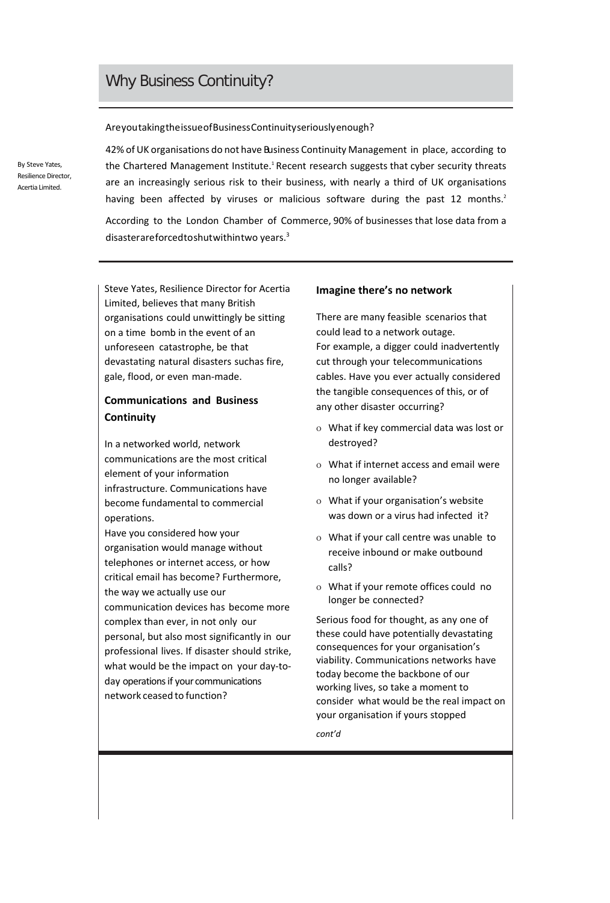# Why Business Continuity?

#### AreyoutakingtheissueofBusinessContinuityseriouslyenough?

By Steve Yates, Resilience Director, Acertia Limited.

42% of UK organisations do not have Business Continuity Management in place, according to the Chartered Management Institute.<sup>1</sup> Recent research suggests that cyber security threats are an increasingly serious risk to their business, with nearly a third of UK organisations having been affected by viruses or malicious software during the past 12 months.<sup>2</sup>

According to the London Chamber of Commerce, 90% of businesses that lose data from a disasterareforcedtoshutwithintwo years.3

Steve Yates, Resilience Director for Acertia Limited, believes that many British organisations could unwittingly be sitting on a time bomb in the event of an unforeseen catastrophe, be that devastating natural disasters suchas fire, gale, flood, or even man-made.

### **Communications and Business Continuity**

In a networked world, network communications are the most critical element of your information infrastructure. Communications have become fundamental to commercial operations.

Have you considered how your organisation would manage without telephones or internet access, or how critical email has become? Furthermore, the way we actually use our communication devices has become more complex than ever, in not only our personal, but also most significantly in our professional lives. If disaster should strike, what would be the impact on your day-today operations if your communications network ceased to function?

#### **Imagine there's no network**

There are many feasible scenarios that could lead to a network outage. For example, a digger could inadvertently cut through your telecommunications cables. Have you ever actually considered the tangible consequences of this, or of any other disaster occurring?

- o What if key commercial data was lost or destroyed?
- o What if internet access and email were no longer available?
- o What if your organisation's website was down or a virus had infected it?
- o What if your call centre was unable to receive inbound or make outbound calls?
- o What if your remote offices could no longer be connected?

Serious food for thought, as any one of these could have potentially devastating consequences for your organisation's viability. Communications networks have today become the backbone of our working lives, so take a moment to consider what would be the real impact on your organisation if yours stopped

*cont'd*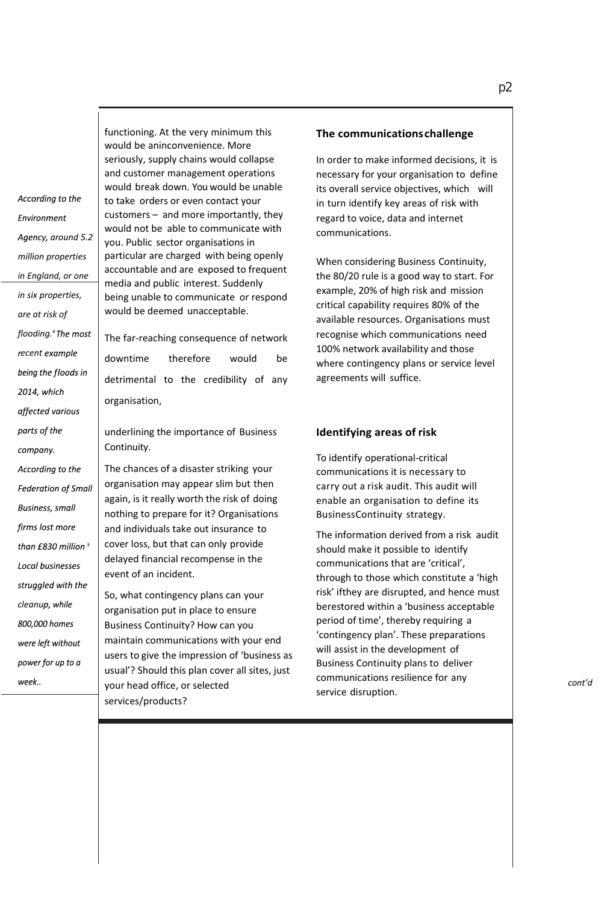According to the **Fnvironment** Agency, around 5.2 *million properties in England, or one in six properties, are at risk of flooding. ecent*  being the floods in 2014, which affected various parts of the company. According to the **Federation of Small Business, small** firms lost more than  $f830$  million  $^5$ Local businesses struggled with the *cleanu*800,000 homes were left without power for up to a week..

functioning. At the very minimum this would be aninconvenience. More seriously, supply chains would collapse and customer management operations would break down. You would be unable to take orders or even contact your customers – and more importantly, they would not be able to communicate with you. Public sector organisations in particular are charged with being openly accountable and are exposed to frequent media and public interest. Suddenly being unable to communicate or respond would be deemed unacceptable.

The far-reaching consequence of network downtime therefore would be detrimental to the credibility of any organisation,

underlining the importance of Business Continuity.

The chances of a disaster striking your organisation may appear slim but then again, is it really worth the risk of doing nothing to prepare for it? Organisations and individuals take out insurance to cover loss, but that can only provide delayed financial recompense in the event of an incident.

So, what contingency plans can your organisation put in place to ensure Business Continuity? How can you maintain communications with your end users to give the impression of 'business as usual'? Should this plan cover all sites, just your head office, or selected services/products?

#### **The communicationschallenge**

In order to make informed decisions, it is necessary for your organisation to define its overall service objectives, which will in turn identify key areas of risk with regard to voice, data and internet communications.

When considering Business Continuity, the 80/20 rule is a good way to start. For example, 20% of high risk and mission critical capability requires 80% of the available resources. Organisations must recognise which communications need 100% network availability and those where contingency plans or service level agreements will suffice.

#### **Identifying areas of risk**

To identify operational-critical communications it is necessary to carry out a risk audit. This audit will enable an organisation to define its BusinessContinuity strategy.

The information derived from a risk audit should make it possible to identify communications that are 'critical', through to those which constitute a 'high risk' ifthey are disrupted, and hence must berestored within a 'business acceptable period of time', thereby requiring a 'contingency plan'. These preparations will assist in the development of Business Continuity plans to deliver communications resilience for any service disruption.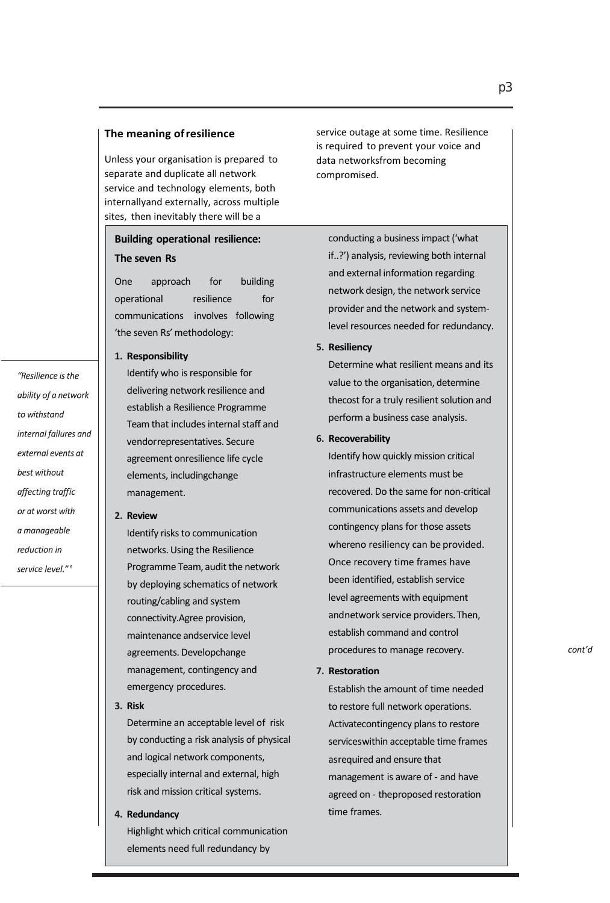#### **The meaning ofresilience**

Unless your organisation is prepared to separate and duplicate all network service and technology elements, both internallyand externally, across multiple sites, then inevitably there will be a

## **Building operational resilience: The seven Rs**

One approach for building operational resilience for communications involves following 'the seven Rs'methodology:

#### **1. Responsibility**

Identify who is responsible for delivering network resilience and establish a Resilience Programme Teamthat includes internal staff and vendorrepresentatives. Secure agreement onresilience life cycle elements, includingchange management.

#### **2. Review**

*eduction* service level."<sup>6</sup>

"Resilience is the ability of a network

internal failures and external events at

to withstand

best without affecting traffic or at worst with a manageable

Identify risks to communication networks.Using the Resilience Programme Team, audit the network by deploying schematics of network routing/cabling and system connectivity.Agree provision, maintenance andservice level agreements. Developchange management, contingency and emergency procedures.

**3. Risk**

Determine an acceptable level of risk by conducting a risk analysis of physical and logical network components, especially internal and external, high risk and mission critical systems.

**4. Redundancy**

Highlight which critical communication elements need full redundancy by

service outage at some time. Resilience is required to prevent your voice and data networksfrom becoming compromised.

conducting a business impact ('what if..?') analysis, reviewing both internal and external information regarding network design, the network service provider and the network and systemlevel resources needed for redundancy.

#### **5. Resiliency**

Determine what resilient means and its value to the organisation, determine thecost for a truly resilient solution and perform a business case analysis.

#### **6. Recoverability**

Identify how quickly mission critical infrastructure elements must be recovered. Do the same for non-critical communications assets and develop contingency plans for those assets whereno resiliency can be provided. Once recovery time frames have been identified, establish service level agreements with equipment andnetwork service providers.Then, establish command and control procedures to manage recovery.

#### **7. Restoration**

Establish the amount of time needed to restore full network operations. Activatecontingency plans to restore serviceswithin acceptable time frames asrequired and ensure that management is aware of - and have agreed on - theproposed restoration time frames.